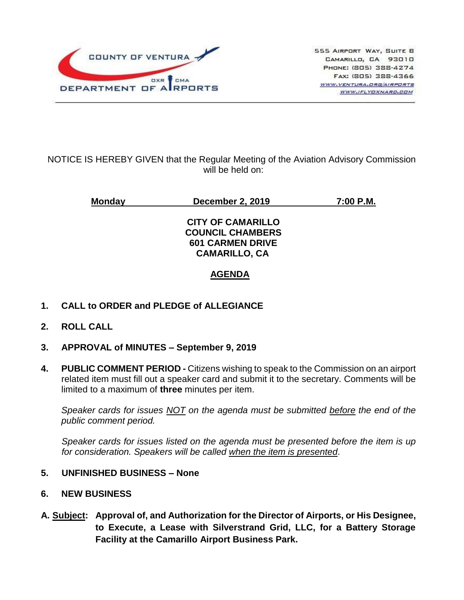

## NOTICE IS HEREBY GIVEN that the Regular Meeting of the Aviation Advisory Commission will be held on:

**Monday December 2, 2019 7:00 P.M.**

**CITY OF CAMARILLO COUNCIL CHAMBERS 601 CARMEN DRIVE CAMARILLO, CA**

# **AGENDA**

- **1. CALL to ORDER and PLEDGE of ALLEGIANCE**
- **2. ROLL CALL**
- **3. APPROVAL of MINUTES – September 9, 2019**
- **4. PUBLIC COMMENT PERIOD -** Citizens wishing to speak to the Commission on an airport related item must fill out a speaker card and submit it to the secretary. Comments will be limited to a maximum of **three** minutes per item.

*Speaker cards for issues NOT on the agenda must be submitted before the end of the public comment period.*

*Speaker cards for issues listed on the agenda must be presented before the item is up for consideration. Speakers will be called when the item is presented*.

#### **5. UNFINISHED BUSINESS – None**

- **6. NEW BUSINESS**
- **A. Subject: Approval of, and Authorization for the Director of Airports, or His Designee, to Execute, a Lease with Silverstrand Grid, LLC, for a Battery Storage Facility at the Camarillo Airport Business Park.**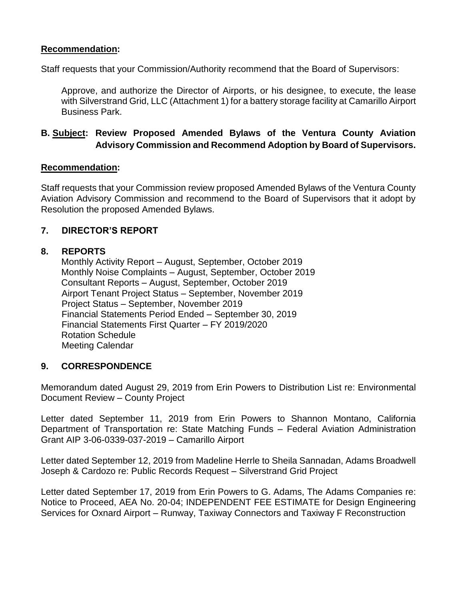## **Recommendation:**

Staff requests that your Commission/Authority recommend that the Board of Supervisors:

Approve, and authorize the Director of Airports, or his designee, to execute, the lease with Silverstrand Grid, LLC (Attachment 1) for a battery storage facility at Camarillo Airport Business Park.

## **B. Subject: Review Proposed Amended Bylaws of the Ventura County Aviation Advisory Commission and Recommend Adoption by Board of Supervisors.**

#### **Recommendation:**

Staff requests that your Commission review proposed Amended Bylaws of the Ventura County Aviation Advisory Commission and recommend to the Board of Supervisors that it adopt by Resolution the proposed Amended Bylaws.

## **7. DIRECTOR'S REPORT**

#### **8. REPORTS**

Monthly Activity Report – August, September, October 2019 Monthly Noise Complaints – August, September, October 2019 Consultant Reports – August, September, October 2019 Airport Tenant Project Status – September, November 2019 Project Status – September, November 2019 Financial Statements Period Ended – September 30, 2019 Financial Statements First Quarter – FY 2019/2020 Rotation Schedule Meeting Calendar

#### **9. CORRESPONDENCE**

Memorandum dated August 29, 2019 from Erin Powers to Distribution List re: Environmental Document Review – County Project

Letter dated September 11, 2019 from Erin Powers to Shannon Montano, California Department of Transportation re: State Matching Funds – Federal Aviation Administration Grant AIP 3-06-0339-037-2019 – Camarillo Airport

Letter dated September 12, 2019 from Madeline Herrle to Sheila Sannadan, Adams Broadwell Joseph & Cardozo re: Public Records Request – Silverstrand Grid Project

Letter dated September 17, 2019 from Erin Powers to G. Adams, The Adams Companies re: Notice to Proceed, AEA No. 20-04; INDEPENDENT FEE ESTIMATE for Design Engineering Services for Oxnard Airport – Runway, Taxiway Connectors and Taxiway F Reconstruction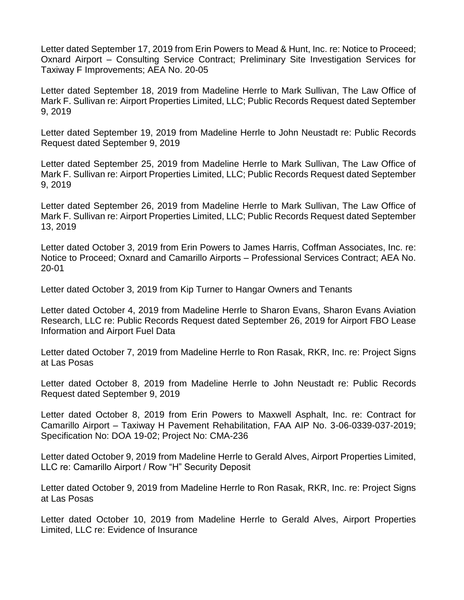Letter dated September 17, 2019 from Erin Powers to Mead & Hunt, Inc. re: Notice to Proceed; Oxnard Airport – Consulting Service Contract; Preliminary Site Investigation Services for Taxiway F Improvements; AEA No. 20-05

Letter dated September 18, 2019 from Madeline Herrle to Mark Sullivan, The Law Office of Mark F. Sullivan re: Airport Properties Limited, LLC; Public Records Request dated September 9, 2019

Letter dated September 19, 2019 from Madeline Herrle to John Neustadt re: Public Records Request dated September 9, 2019

Letter dated September 25, 2019 from Madeline Herrle to Mark Sullivan, The Law Office of Mark F. Sullivan re: Airport Properties Limited, LLC; Public Records Request dated September 9, 2019

Letter dated September 26, 2019 from Madeline Herrle to Mark Sullivan, The Law Office of Mark F. Sullivan re: Airport Properties Limited, LLC; Public Records Request dated September 13, 2019

Letter dated October 3, 2019 from Erin Powers to James Harris, Coffman Associates, Inc. re: Notice to Proceed; Oxnard and Camarillo Airports – Professional Services Contract; AEA No. 20-01

Letter dated October 3, 2019 from Kip Turner to Hangar Owners and Tenants

Letter dated October 4, 2019 from Madeline Herrle to Sharon Evans, Sharon Evans Aviation Research, LLC re: Public Records Request dated September 26, 2019 for Airport FBO Lease Information and Airport Fuel Data

Letter dated October 7, 2019 from Madeline Herrle to Ron Rasak, RKR, Inc. re: Project Signs at Las Posas

Letter dated October 8, 2019 from Madeline Herrle to John Neustadt re: Public Records Request dated September 9, 2019

Letter dated October 8, 2019 from Erin Powers to Maxwell Asphalt, Inc. re: Contract for Camarillo Airport – Taxiway H Pavement Rehabilitation, FAA AIP No. 3-06-0339-037-2019; Specification No: DOA 19-02; Project No: CMA-236

Letter dated October 9, 2019 from Madeline Herrle to Gerald Alves, Airport Properties Limited, LLC re: Camarillo Airport / Row "H" Security Deposit

Letter dated October 9, 2019 from Madeline Herrle to Ron Rasak, RKR, Inc. re: Project Signs at Las Posas

Letter dated October 10, 2019 from Madeline Herrle to Gerald Alves, Airport Properties Limited, LLC re: Evidence of Insurance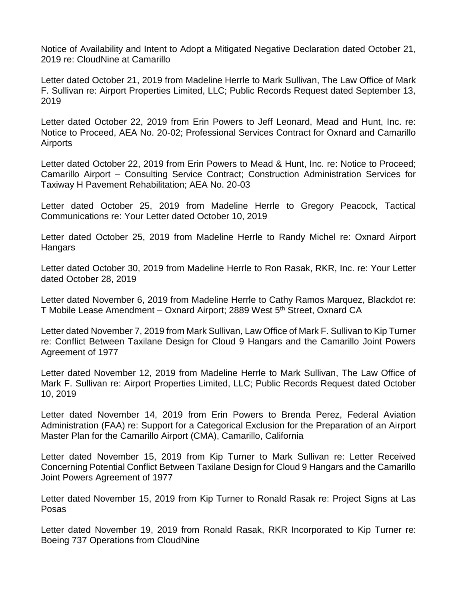Notice of Availability and Intent to Adopt a Mitigated Negative Declaration dated October 21, 2019 re: CloudNine at Camarillo

Letter dated October 21, 2019 from Madeline Herrle to Mark Sullivan, The Law Office of Mark F. Sullivan re: Airport Properties Limited, LLC; Public Records Request dated September 13, 2019

Letter dated October 22, 2019 from Erin Powers to Jeff Leonard, Mead and Hunt, Inc. re: Notice to Proceed, AEA No. 20-02; Professional Services Contract for Oxnard and Camarillo Airports

Letter dated October 22, 2019 from Erin Powers to Mead & Hunt, Inc. re: Notice to Proceed; Camarillo Airport – Consulting Service Contract; Construction Administration Services for Taxiway H Pavement Rehabilitation; AEA No. 20-03

Letter dated October 25, 2019 from Madeline Herrle to Gregory Peacock, Tactical Communications re: Your Letter dated October 10, 2019

Letter dated October 25, 2019 from Madeline Herrle to Randy Michel re: Oxnard Airport **Hangars** 

Letter dated October 30, 2019 from Madeline Herrle to Ron Rasak, RKR, Inc. re: Your Letter dated October 28, 2019

Letter dated November 6, 2019 from Madeline Herrle to Cathy Ramos Marquez, Blackdot re: T Mobile Lease Amendment – Oxnard Airport; 2889 West 5<sup>th</sup> Street, Oxnard CA

Letter dated November 7, 2019 from Mark Sullivan, Law Office of Mark F. Sullivan to Kip Turner re: Conflict Between Taxilane Design for Cloud 9 Hangars and the Camarillo Joint Powers Agreement of 1977

Letter dated November 12, 2019 from Madeline Herrle to Mark Sullivan, The Law Office of Mark F. Sullivan re: Airport Properties Limited, LLC; Public Records Request dated October 10, 2019

Letter dated November 14, 2019 from Erin Powers to Brenda Perez, Federal Aviation Administration (FAA) re: Support for a Categorical Exclusion for the Preparation of an Airport Master Plan for the Camarillo Airport (CMA), Camarillo, California

Letter dated November 15, 2019 from Kip Turner to Mark Sullivan re: Letter Received Concerning Potential Conflict Between Taxilane Design for Cloud 9 Hangars and the Camarillo Joint Powers Agreement of 1977

Letter dated November 15, 2019 from Kip Turner to Ronald Rasak re: Project Signs at Las Posas

Letter dated November 19, 2019 from Ronald Rasak, RKR Incorporated to Kip Turner re: Boeing 737 Operations from CloudNine